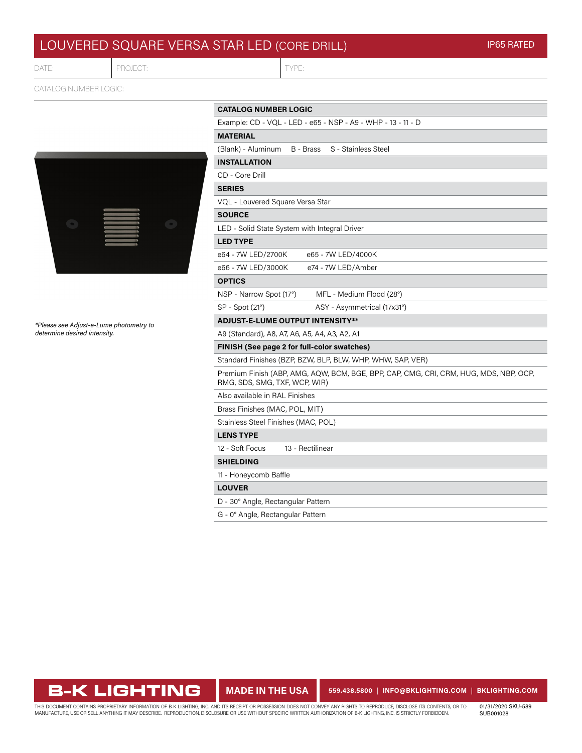## LOUVERED SQUARE VERSA STAR LED (CORE DRILL)

DATE:

PROJECT: TYPE

CATALOG NUMBER LOGIC:



*\*Please see Adjust-e-Lume photometry to determine desired intensity.*

| <b>CATALOG NUMBER LOGIC</b>                                                                                            |
|------------------------------------------------------------------------------------------------------------------------|
| Example: CD - VQL - LED - e65 - NSP - A9 - WHP - 13 - 11 - D                                                           |
| <b>MATERIAL</b>                                                                                                        |
| (Blank) - Aluminum<br>S - Stainless Steel<br>B - Brass                                                                 |
| <b>INSTALLATION</b>                                                                                                    |
| CD - Core Drill                                                                                                        |
| <b>SERIES</b>                                                                                                          |
| VQL - Louvered Square Versa Star                                                                                       |
| <b>SOURCE</b>                                                                                                          |
| LED - Solid State System with Integral Driver                                                                          |
| <b>LED TYPE</b>                                                                                                        |
| e65 - 7W LED/4000K<br>e64 - 7W LED/2700K                                                                               |
| e66 - 7W LED/3000K<br>e74 - 7W LED/Amber                                                                               |
| <b>OPTICS</b>                                                                                                          |
| NSP - Narrow Spot (17°)<br>MFL - Medium Flood (28°)                                                                    |
| SP - Spot (21°)<br>ASY - Asymmetrical (17x31°)                                                                         |
| <b>ADJUST-E-LUME OUTPUT INTENSITY**</b>                                                                                |
| A9 (Standard), A8, A7, A6, A5, A4, A3, A2, A1                                                                          |
| FINISH (See page 2 for full-color swatches)                                                                            |
| Standard Finishes (BZP, BZW, BLP, BLW, WHP, WHW, SAP, VER)                                                             |
| Premium Finish (ABP, AMG, AQW, BCM, BGE, BPP, CAP, CMG, CRI, CRM, HUG, MDS, NBP, OCP,<br>RMG, SDS, SMG, TXF, WCP, WIR) |
| Also available in RAL Finishes                                                                                         |
| Brass Finishes (MAC, POL, MIT)                                                                                         |
| Stainless Steel Finishes (MAC, POL)                                                                                    |
| <b>LENS TYPE</b>                                                                                                       |
| 12 - Soft Focus<br>13 - Rectilinear                                                                                    |
| <b>SHIELDING</b>                                                                                                       |
| 11 - Honeycomb Baffle                                                                                                  |
| <b>LOUVER</b>                                                                                                          |
| D - 30° Angle, Rectangular Pattern                                                                                     |
|                                                                                                                        |

G - 0° Angle, Rectangular Pattern

## **B-K LIGHTING**

**MADE IN THE USA 559.438.5800** | **INFO@BKLIGHTING.COM** | **[BKLIGHTING.COM](http://bklighting.com)**

THIS DOCUMENT CONTAINS PROPRIETARY INFORMATION OF B-K LIGHTING, INC. AND ITS RECEIPT OR POSSESSION DOES NOT CONVEY ANY RIGHTS TO REPRODUCE, DISCLOSE ITS CONTENTS, OR TO<br>MANUFACTURE, USE OR SELL ANYTHING IT MAY DESCRIBE. RE

01/31/2020 SKU-589 SUB001028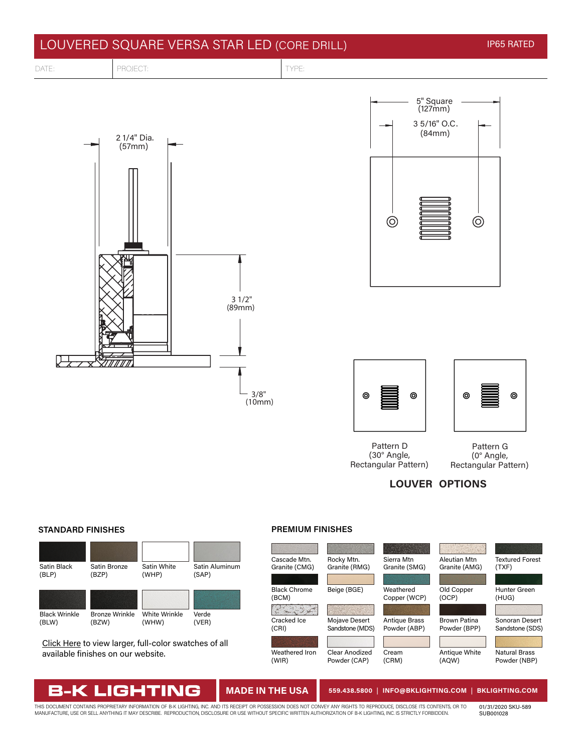









Pattern D (30° Angle, Rectangular Pattern)

Pattern G (0° Angle, Rectangular Pattern)

**LOUVER OPTIONS**

#### **STANDARD FINISHES PREMIUM FINISHES**



[Click Here](https://bklighting.com/index.php/products/finishes-colors.html) to view larger, full-color swatches of all available finishes on our website.

B-K LIGHTING



### **MADE IN THE USA 559.438.5800** | **INFO@BKLIGHTING.COM** | **[BKLIGHTING.COM](http://bklighting.com)**

THIS DOCUMENT CONTAINS PROPRIETARY INFORMATION OF B-K LIGHTING, INC. AND ITS RECEIPT OR POSSESSION DOES NOT CONVEY ANY RIGHTS TO REPRODUCE, DISCLOSE ITS CONTENTS, OR TO<br>MANUFACTURE, USE OR SELL ANYTHING IT MAY DESCRIBE. RE

01/31/2020 SKU-589 SUB001028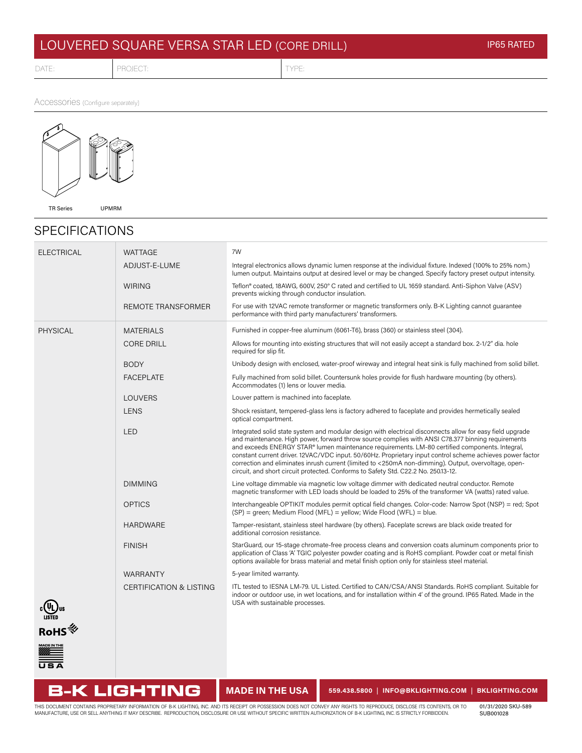# LOUVERED SQUARE VERSA STAR LED (CORE DRILL) INTERNATIONAL IP65 RATED

DATE: PROJECT: PROJECT: TYPE:

Accessories (Configure separately)



## SPECIFICATIONS

| <b>ELECTRICAL</b>       | <b>WATTAGE</b>                     | 7W                                                                                                                                                                                                                                                                                                                                                                                                                                                                                                                                                                                                                          |
|-------------------------|------------------------------------|-----------------------------------------------------------------------------------------------------------------------------------------------------------------------------------------------------------------------------------------------------------------------------------------------------------------------------------------------------------------------------------------------------------------------------------------------------------------------------------------------------------------------------------------------------------------------------------------------------------------------------|
|                         | ADJUST-E-LUME                      | Integral electronics allows dynamic lumen response at the individual fixture. Indexed (100% to 25% nom.)<br>lumen output. Maintains output at desired level or may be changed. Specify factory preset output intensity.                                                                                                                                                                                                                                                                                                                                                                                                     |
|                         | <b>WIRING</b>                      | Teflon® coated, 18AWG, 600V, 250° C rated and certified to UL 1659 standard. Anti-Siphon Valve (ASV)<br>prevents wicking through conductor insulation.                                                                                                                                                                                                                                                                                                                                                                                                                                                                      |
|                         | <b>REMOTE TRANSFORMER</b>          | For use with 12VAC remote transformer or magnetic transformers only. B-K Lighting cannot guarantee<br>performance with third party manufacturers' transformers.                                                                                                                                                                                                                                                                                                                                                                                                                                                             |
| <b>PHYSICAL</b>         | <b>MATERIALS</b>                   | Furnished in copper-free aluminum (6061-T6), brass (360) or stainless steel (304).                                                                                                                                                                                                                                                                                                                                                                                                                                                                                                                                          |
|                         | <b>CORE DRILL</b>                  | Allows for mounting into existing structures that will not easily accept a standard box. 2-1/2" dia. hole<br>required for slip fit.                                                                                                                                                                                                                                                                                                                                                                                                                                                                                         |
|                         | <b>BODY</b>                        | Unibody design with enclosed, water-proof wireway and integral heat sink is fully machined from solid billet.                                                                                                                                                                                                                                                                                                                                                                                                                                                                                                               |
|                         | <b>FACEPLATE</b>                   | Fully machined from solid billet. Countersunk holes provide for flush hardware mounting (by others).<br>Accommodates (1) lens or louver media.                                                                                                                                                                                                                                                                                                                                                                                                                                                                              |
|                         | <b>LOUVERS</b>                     | Louver pattern is machined into faceplate.                                                                                                                                                                                                                                                                                                                                                                                                                                                                                                                                                                                  |
|                         | <b>LENS</b>                        | Shock resistant, tempered-glass lens is factory adhered to faceplate and provides hermetically sealed<br>optical compartment.                                                                                                                                                                                                                                                                                                                                                                                                                                                                                               |
|                         | <b>LED</b>                         | Integrated solid state system and modular design with electrical disconnects allow for easy field upgrade<br>and maintenance. High power, forward throw source complies with ANSI C78.377 binning requirements<br>and exceeds ENERGY STAR® lumen maintenance requirements. LM-80 certified components. Integral,<br>constant current driver. 12VAC/VDC input. 50/60Hz. Proprietary input control scheme achieves power factor<br>correction and eliminates inrush current (limited to <250mA non-dimming). Output, overvoltage, open-<br>circuit, and short circuit protected. Conforms to Safety Std. C22.2 No. 250.13-12. |
|                         | <b>DIMMING</b>                     | Line voltage dimmable via magnetic low voltage dimmer with dedicated neutral conductor. Remote<br>magnetic transformer with LED loads should be loaded to 25% of the transformer VA (watts) rated value.                                                                                                                                                                                                                                                                                                                                                                                                                    |
|                         | <b>OPTICS</b>                      | Interchangeable OPTIKIT modules permit optical field changes. Color-code: Narrow Spot (NSP) = red; Spot<br>(SP) = green; Medium Flood (MFL) = yellow; Wide Flood (WFL) = blue.                                                                                                                                                                                                                                                                                                                                                                                                                                              |
|                         | <b>HARDWARE</b>                    | Tamper-resistant, stainless steel hardware (by others). Faceplate screws are black oxide treated for<br>additional corrosion resistance.                                                                                                                                                                                                                                                                                                                                                                                                                                                                                    |
|                         | <b>FINISH</b>                      | StarGuard, our 15-stage chromate-free process cleans and conversion coats aluminum components prior to<br>application of Class 'A' TGIC polyester powder coating and is RoHS compliant. Powder coat or metal finish<br>options available for brass material and metal finish option only for stainless steel material.                                                                                                                                                                                                                                                                                                      |
|                         | <b>WARRANTY</b>                    | 5-year limited warranty.                                                                                                                                                                                                                                                                                                                                                                                                                                                                                                                                                                                                    |
|                         | <b>CERTIFICATION &amp; LISTING</b> | ITL tested to IESNA LM-79. UL Listed. Certified to CAN/CSA/ANSI Standards. RoHS compliant. Suitable for<br>indoor or outdoor use, in wet locations, and for installation within 4' of the ground. IP65 Rated. Made in the<br>USA with sustainable processes.                                                                                                                                                                                                                                                                                                                                                                |
| :∖uus<br>⊔isted<br>RoHS |                                    |                                                                                                                                                                                                                                                                                                                                                                                                                                                                                                                                                                                                                             |
| ADE IN THE<br>$\equiv$  |                                    |                                                                                                                                                                                                                                                                                                                                                                                                                                                                                                                                                                                                                             |

**B-K LIGHTING** 

**MADE IN THE USA 559.438.5800** | **INFO@BKLIGHTING.COM** | **BKLIGHTING.COM**

THIS DOCUMENT CONTAINS PROPRIETARY INFORMATION OF B-K LIGHTING, INC. AND ITS RECEIPT OR POSSESSION DOES NOT CONVEY ANY RIGHTS TO REPRODUCE, DISCLOSE ITS CONTENTS, OR TO<br>MANUFACTURE, USE OR SELL ANYTHING IT MAY DESCRIBE. RE

01/31/2020 SKU-589 SUB001028